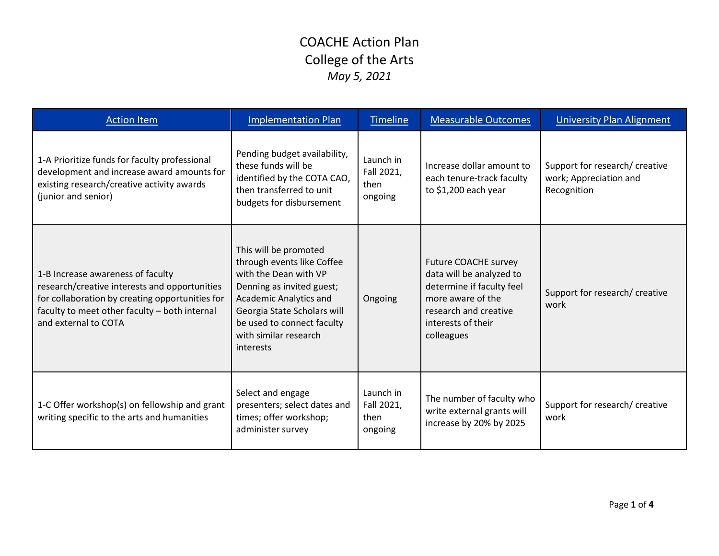| <b>Action Item</b>                                                                                                                                                                                             | <b>Implementation Plan</b>                                                                                                                                                                                                             | <b>Timeline</b>                            | <b>Measurable Outcomes</b>                                                                                                                                             | <b>University Plan Alignment</b>                                        |
|----------------------------------------------------------------------------------------------------------------------------------------------------------------------------------------------------------------|----------------------------------------------------------------------------------------------------------------------------------------------------------------------------------------------------------------------------------------|--------------------------------------------|------------------------------------------------------------------------------------------------------------------------------------------------------------------------|-------------------------------------------------------------------------|
| 1-A Prioritize funds for faculty professional<br>development and increase award amounts for<br>existing research/creative activity awards<br>(junior and senior)                                               | Pending budget availability,<br>these funds will be<br>identified by the COTA CAO,<br>then transferred to unit<br>budgets for disbursement                                                                                             | Launch in<br>Fall 2021,<br>then<br>ongoing | Increase dollar amount to<br>each tenure-track faculty<br>to \$1,200 each year                                                                                         | Support for research/ creative<br>work; Appreciation and<br>Recognition |
| 1-B Increase awareness of faculty<br>research/creative interests and opportunities<br>for collaboration by creating opportunities for<br>faculty to meet other faculty - both internal<br>and external to COTA | This will be promoted<br>through events like Coffee<br>with the Dean with VP<br>Denning as invited guest;<br>Academic Analytics and<br>Georgia State Scholars will<br>be used to connect faculty<br>with similar research<br>interests | Ongoing                                    | <b>Future COACHE survey</b><br>data will be analyzed to<br>determine if faculty feel<br>more aware of the<br>research and creative<br>interests of their<br>colleagues | Support for research/ creative<br>work                                  |
| 1-C Offer workshop(s) on fellowship and grant<br>writing specific to the arts and humanities                                                                                                                   | Select and engage<br>presenters; select dates and<br>times; offer workshop;<br>administer survey                                                                                                                                       | Launch in<br>Fall 2021,<br>then<br>ongoing | The number of faculty who<br>write external grants will<br>increase by 20% by 2025                                                                                     | Support for research/ creative<br>work                                  |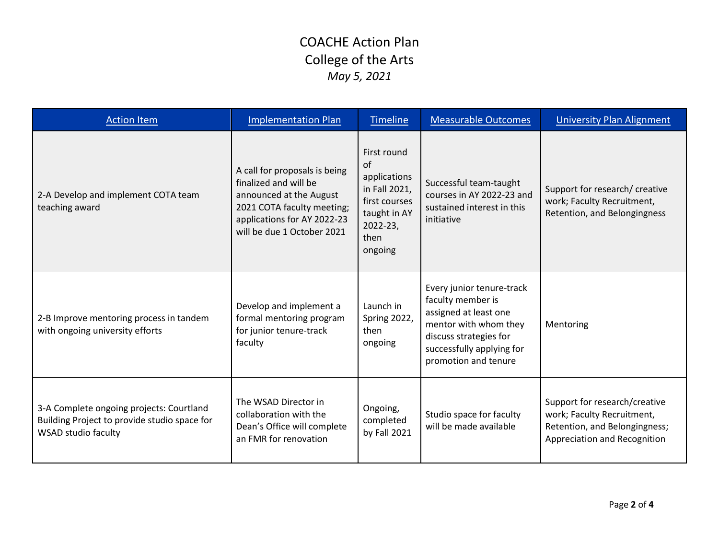| <b>Action Item</b>                                                                                                     | <b>Implementation Plan</b>                                                                                                                                                   | <b>Timeline</b>                                                                                                    | <b>Measurable Outcomes</b>                                                                                                                                                      | <b>University Plan Alignment</b>                                                                                             |
|------------------------------------------------------------------------------------------------------------------------|------------------------------------------------------------------------------------------------------------------------------------------------------------------------------|--------------------------------------------------------------------------------------------------------------------|---------------------------------------------------------------------------------------------------------------------------------------------------------------------------------|------------------------------------------------------------------------------------------------------------------------------|
| 2-A Develop and implement COTA team<br>teaching award                                                                  | A call for proposals is being<br>finalized and will be<br>announced at the August<br>2021 COTA faculty meeting;<br>applications for AY 2022-23<br>will be due 1 October 2021 | First round<br>of<br>applications<br>in Fall 2021,<br>first courses<br>taught in AY<br>2022-23,<br>then<br>ongoing | Successful team-taught<br>courses in AY 2022-23 and<br>sustained interest in this<br>initiative                                                                                 | Support for research/ creative<br>work; Faculty Recruitment,<br>Retention, and Belongingness                                 |
| 2-B Improve mentoring process in tandem<br>with ongoing university efforts                                             | Develop and implement a<br>formal mentoring program<br>for junior tenure-track<br>faculty                                                                                    | Launch in<br>Spring 2022,<br>then<br>ongoing                                                                       | Every junior tenure-track<br>faculty member is<br>assigned at least one<br>mentor with whom they<br>discuss strategies for<br>successfully applying for<br>promotion and tenure | Mentoring                                                                                                                    |
| 3-A Complete ongoing projects: Courtland<br>Building Project to provide studio space for<br><b>WSAD studio faculty</b> | The WSAD Director in<br>collaboration with the<br>Dean's Office will complete<br>an FMR for renovation                                                                       | Ongoing,<br>completed<br>by Fall 2021                                                                              | Studio space for faculty<br>will be made available                                                                                                                              | Support for research/creative<br>work; Faculty Recruitment,<br>Retention, and Belongingness;<br>Appreciation and Recognition |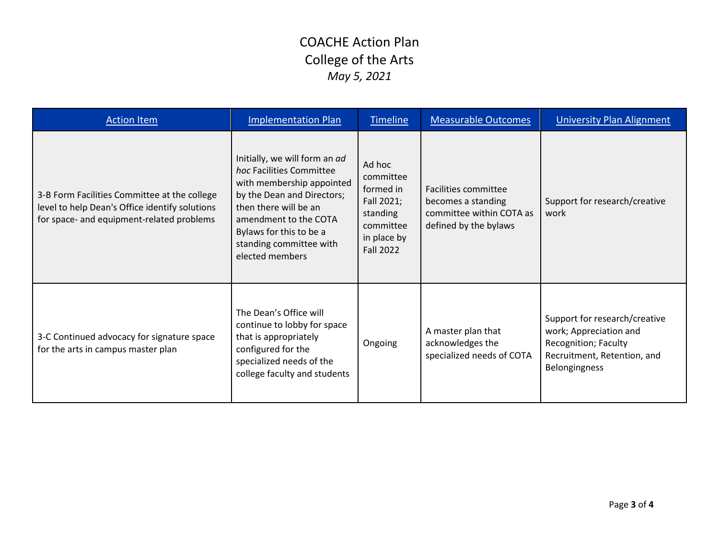| <b>Action Item</b>                                                                                                                          | <b>Implementation Plan</b>                                                                                                                                                                                                                      | <b>Timeline</b>                                                                                            | <b>Measurable Outcomes</b>                                                                      | <b>University Plan Alignment</b>                                                                                                |
|---------------------------------------------------------------------------------------------------------------------------------------------|-------------------------------------------------------------------------------------------------------------------------------------------------------------------------------------------------------------------------------------------------|------------------------------------------------------------------------------------------------------------|-------------------------------------------------------------------------------------------------|---------------------------------------------------------------------------------------------------------------------------------|
| 3-B Form Facilities Committee at the college<br>level to help Dean's Office identify solutions<br>for space- and equipment-related problems | Initially, we will form an ad<br>hoc Facilities Committee<br>with membership appointed<br>by the Dean and Directors;<br>then there will be an<br>amendment to the COTA<br>Bylaws for this to be a<br>standing committee with<br>elected members | Ad hoc<br>committee<br>formed in<br>Fall 2021;<br>standing<br>committee<br>in place by<br><b>Fall 2022</b> | Facilities committee<br>becomes a standing<br>committee within COTA as<br>defined by the bylaws | Support for research/creative<br>work                                                                                           |
| 3-C Continued advocacy for signature space<br>for the arts in campus master plan                                                            | The Dean's Office will<br>continue to lobby for space<br>that is appropriately<br>configured for the<br>specialized needs of the<br>college faculty and students                                                                                | Ongoing                                                                                                    | A master plan that<br>acknowledges the<br>specialized needs of COTA                             | Support for research/creative<br>work; Appreciation and<br>Recognition; Faculty<br>Recruitment, Retention, and<br>Belongingness |